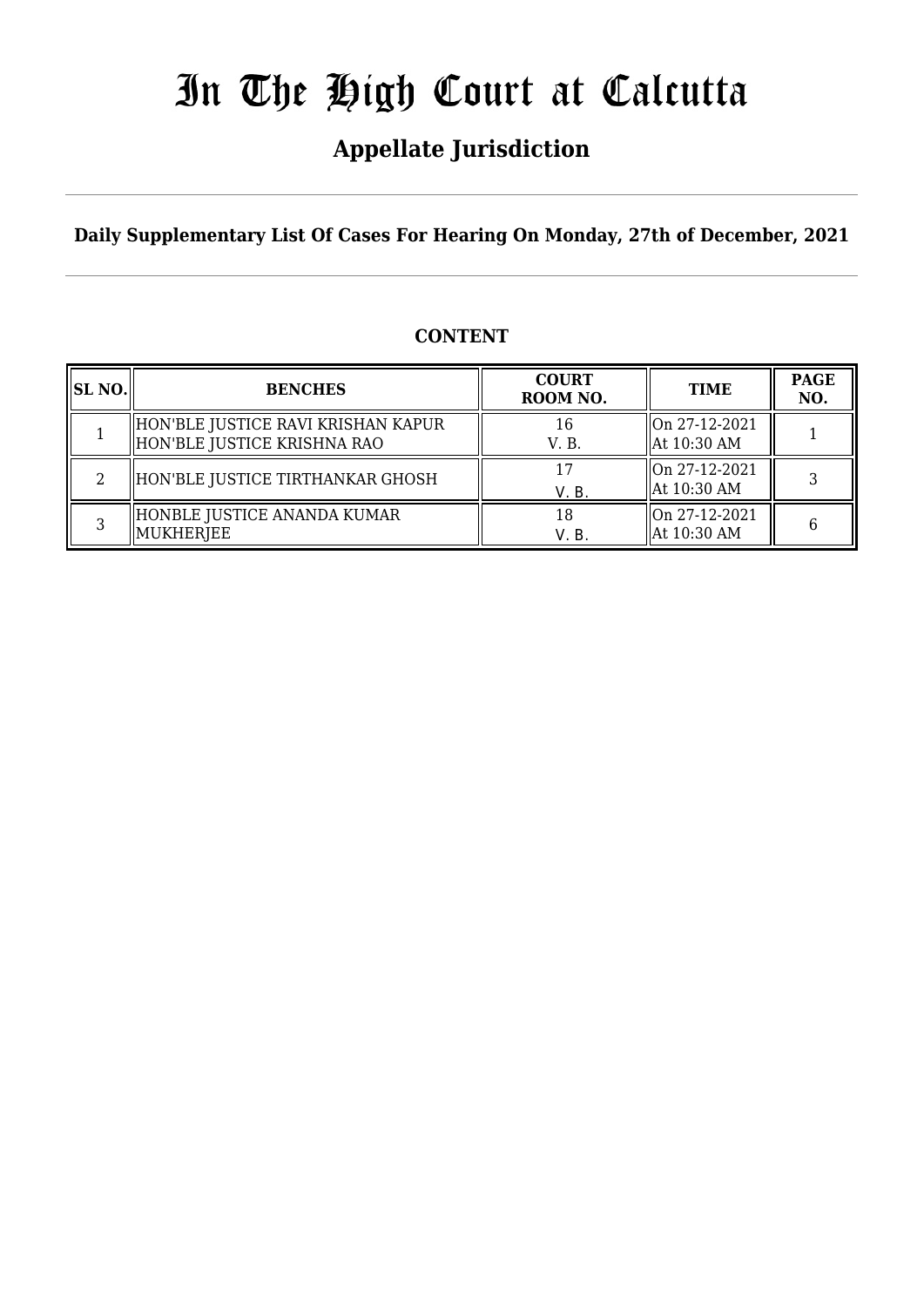## **Appellate Jurisdiction**

**Daily Supplementary List Of Cases For Hearing On Monday, 27th of December, 2021**

## **CONTENT**

| <b>SL NO.</b> | <b>BENCHES</b>                                                      | <b>COURT</b><br>ROOM NO. | <b>TIME</b>                    | <b>PAGE</b><br>NO. |
|---------------|---------------------------------------------------------------------|--------------------------|--------------------------------|--------------------|
|               | HON'BLE JUSTICE RAVI KRISHAN KAPUR<br>  HON'BLE JUSTICE KRISHNA RAO | 16<br>V. B.              | On 27-12-2021<br>  At 10:30 AM |                    |
|               | HON'BLE JUSTICE TIRTHANKAR GHOSH                                    | V. B.                    | On 27-12-2021<br>  At 10:30 AM |                    |
|               | HONBLE JUSTICE ANANDA KUMAR<br>MUKHERJEE                            | 18<br>V. B.              | On 27-12-2021<br>  At 10:30 AM |                    |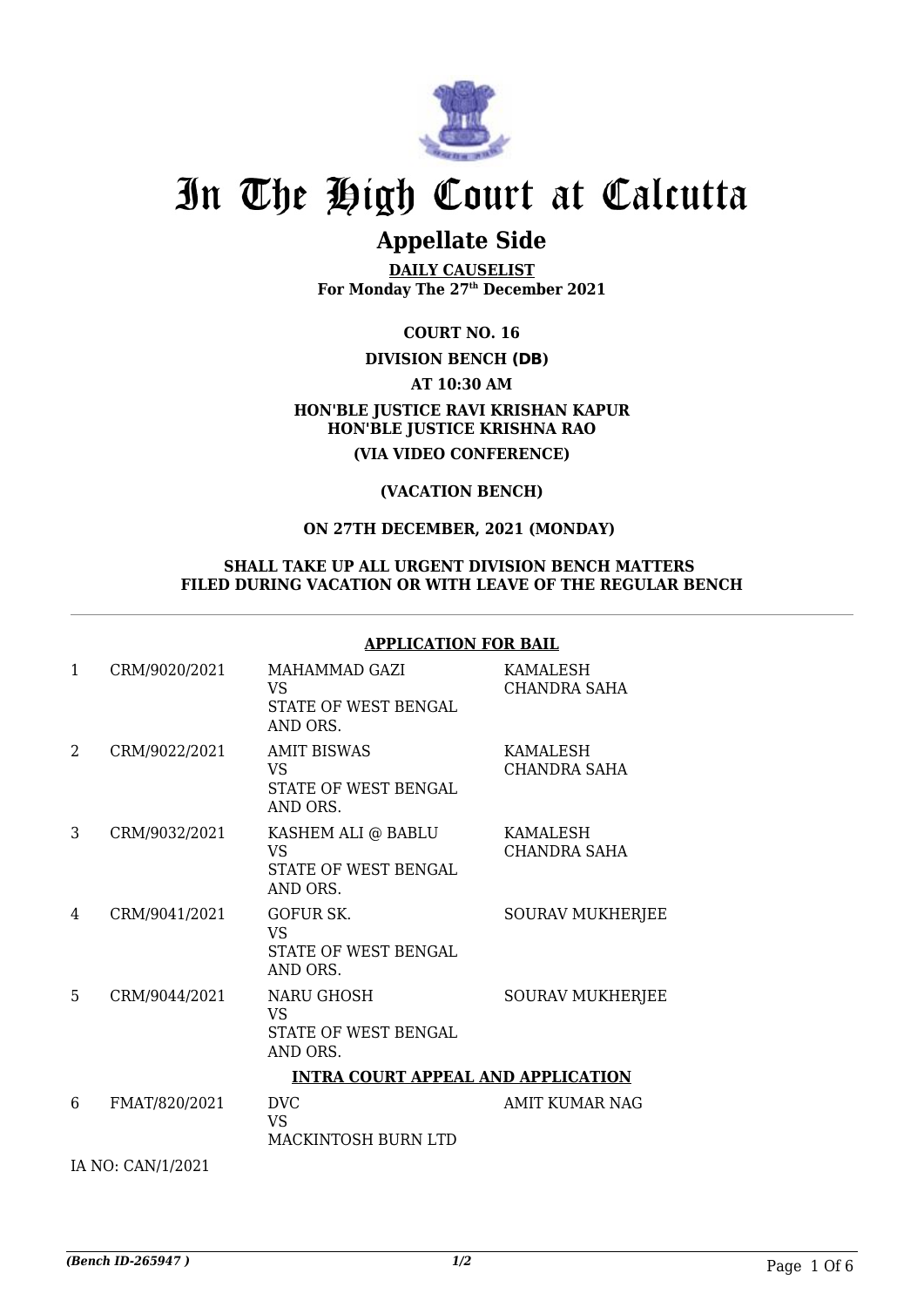

## **Appellate Side**

**DAILY CAUSELIST For Monday The 27th December 2021**

**COURT NO. 16**

 **DIVISION BENCH (DB)**

**AT 10:30 AM**

### **HON'BLE JUSTICE RAVI KRISHAN KAPUR HON'BLE JUSTICE KRISHNA RAO (VIA VIDEO CONFERENCE)**

**(VACATION BENCH)**

### **ON 27TH DECEMBER, 2021 (MONDAY)**

#### **SHALL TAKE UP ALL URGENT DIVISION BENCH MATTERS FILED DURING VACATION OR WITH LEAVE OF THE REGULAR BENCH**

#### **APPLICATION FOR BAIL**

| $\mathbf{1}$ | CRM/9020/2021 | MAHAMMAD GAZI<br>VS<br>STATE OF WEST BENGAL<br>AND ORS.             | KAMALESH<br><b>CHANDRA SAHA</b> |
|--------------|---------------|---------------------------------------------------------------------|---------------------------------|
| 2            | CRM/9022/2021 | <b>AMIT BISWAS</b><br><b>VS</b><br>STATE OF WEST BENGAL<br>AND ORS. | KAMALESH<br><b>CHANDRA SAHA</b> |
| 3            | CRM/9032/2021 | KASHEM ALI @ BABLU<br>VS<br>STATE OF WEST BENGAL<br>AND ORS.        | KAMALESH<br>CHANDRA SAHA        |
| 4            | CRM/9041/2021 | <b>GOFUR SK.</b><br><b>VS</b><br>STATE OF WEST BENGAL<br>AND ORS.   | <b>SOURAV MUKHERJEE</b>         |
| 5.           | CRM/9044/2021 | NARU GHOSH<br>VS<br>STATE OF WEST BENGAL<br>AND ORS.                | <b>SOURAV MUKHERJEE</b>         |
|              |               | <b>INTRA COURT APPEAL AND APPLICATION</b>                           |                                 |
| 6            | FMAT/820/2021 | <b>DVC</b><br><b>VS</b><br>MACKINTOSH BURN LTD                      | <b>AMIT KUMAR NAG</b>           |

IA NO: CAN/1/2021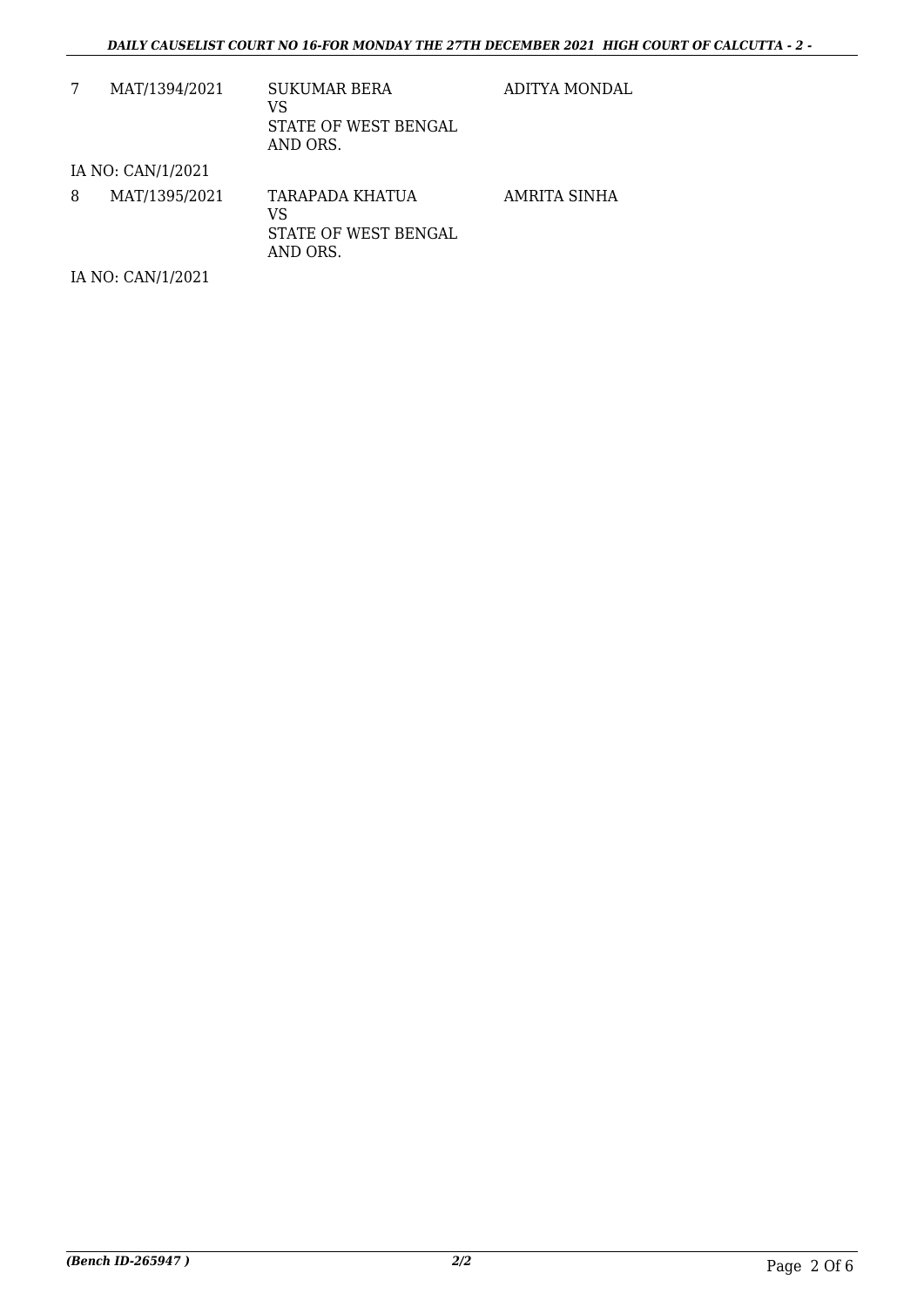|   | MAT/1394/2021     | <b>SUKUMAR BERA</b><br>VS<br>STATE OF WEST BENGAL<br>AND ORS.    | ADITYA MONDAL |
|---|-------------------|------------------------------------------------------------------|---------------|
|   | IA NO: CAN/1/2021 |                                                                  |               |
| 8 | MAT/1395/2021     | <b>TARAPADA KHATUA</b><br>VS<br>STATE OF WEST BENGAL<br>AND ORS. | AMRITA SINHA  |
|   | IA NO: CAN/1/2021 |                                                                  |               |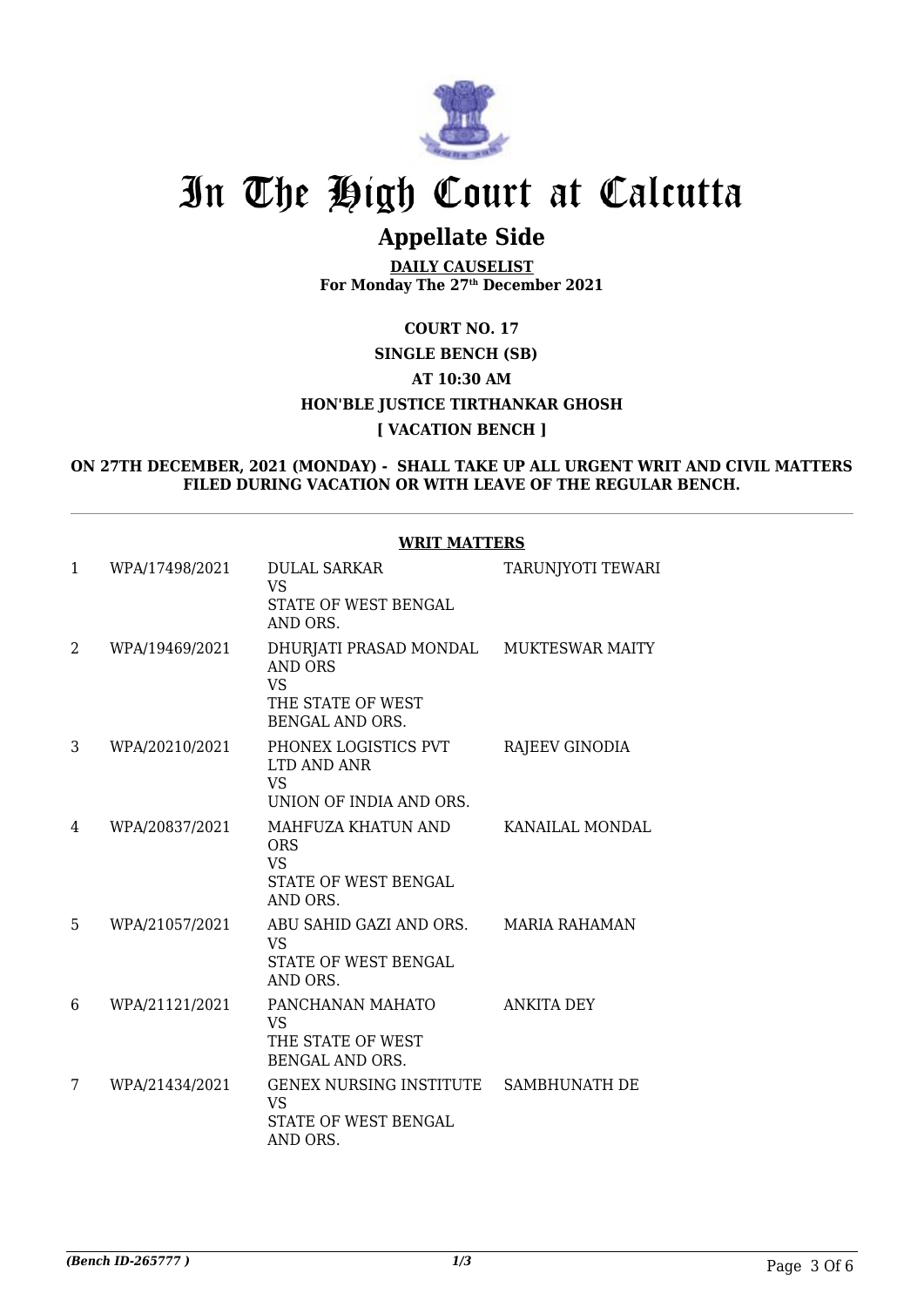

## **Appellate Side**

**DAILY CAUSELIST For Monday The 27th December 2021**

### **COURT NO. 17**

## **SINGLE BENCH (SB) AT 10:30 AM HON'BLE JUSTICE TIRTHANKAR GHOSH [ VACATION BENCH ]**

#### **ON 27TH DECEMBER, 2021 (MONDAY) - SHALL TAKE UP ALL URGENT WRIT AND CIVIL MATTERS FILED DURING VACATION OR WITH LEAVE OF THE REGULAR BENCH.**

|   |                | WRIT MATTERS                                                                                                         |                          |
|---|----------------|----------------------------------------------------------------------------------------------------------------------|--------------------------|
| 1 | WPA/17498/2021 | <b>DULAL SARKAR</b><br><b>VS</b><br>STATE OF WEST BENGAL<br>AND ORS.                                                 | <b>TARUNJYOTI TEWARI</b> |
| 2 | WPA/19469/2021 | DHURJATI PRASAD MONDAL MUKTESWAR MAITY<br><b>AND ORS</b><br><b>VS</b><br>THE STATE OF WEST<br><b>BENGAL AND ORS.</b> |                          |
| 3 | WPA/20210/2021 | PHONEX LOGISTICS PVT<br>LTD AND ANR<br><b>VS</b><br>UNION OF INDIA AND ORS.                                          | RAJEEV GINODIA           |
| 4 | WPA/20837/2021 | MAHFUZA KHATUN AND<br><b>ORS</b><br><b>VS</b><br>STATE OF WEST BENGAL<br>AND ORS.                                    | KANAILAL MONDAL          |
| 5 | WPA/21057/2021 | ABU SAHID GAZI AND ORS. MARIA RAHAMAN<br><b>VS</b><br><b>STATE OF WEST BENGAL</b><br>AND ORS.                        |                          |
| 6 | WPA/21121/2021 | PANCHANAN MAHATO<br><b>VS</b><br>THE STATE OF WEST<br><b>BENGAL AND ORS.</b>                                         | <b>ANKITA DEY</b>        |
| 7 | WPA/21434/2021 | GENEX NURSING INSTITUTE SAMBHUNATH DE<br>VS<br>STATE OF WEST BENGAL<br>AND ORS.                                      |                          |
|   |                |                                                                                                                      |                          |

## **WRIT MATTERS**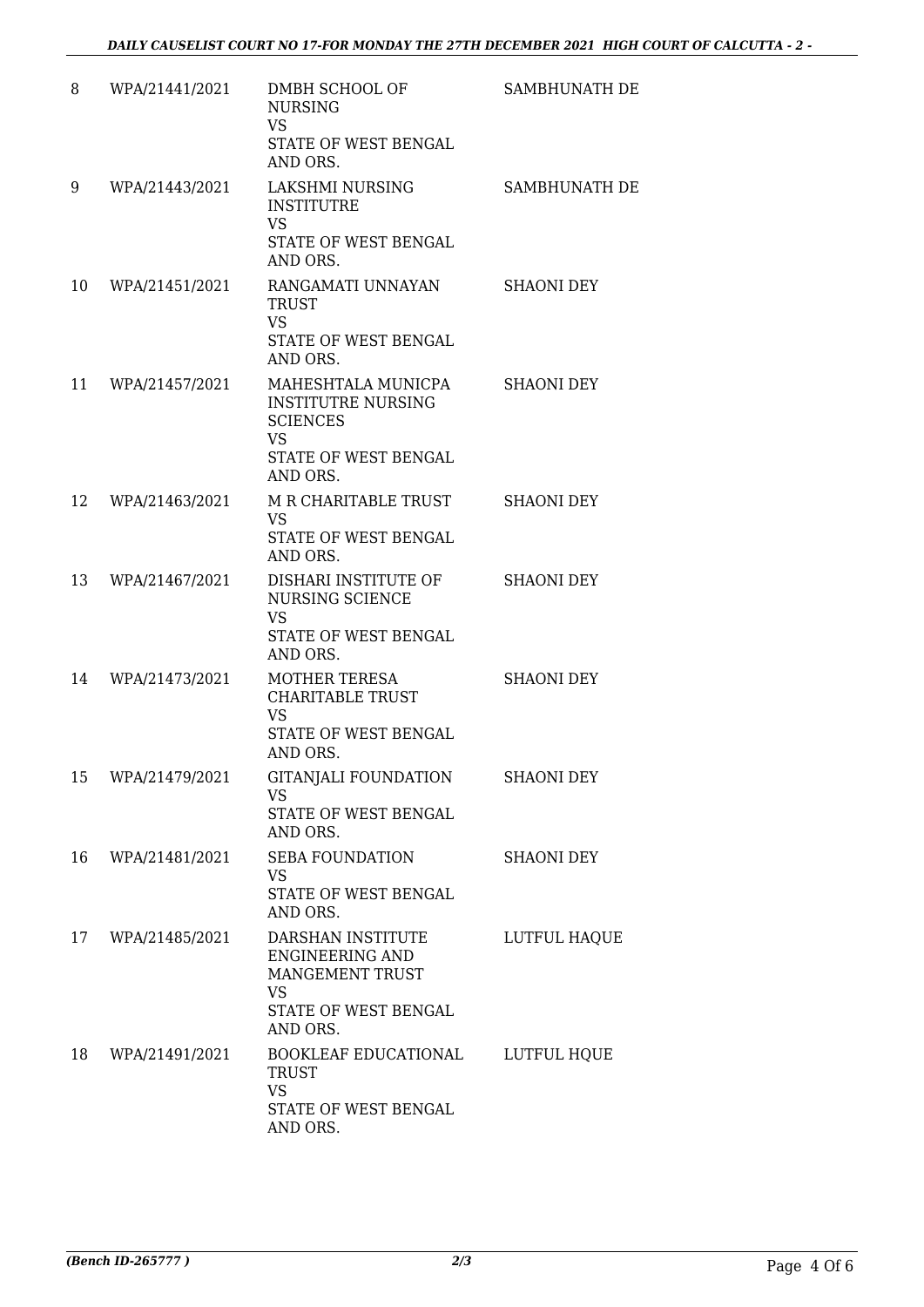| 8  | WPA/21441/2021 | DMBH SCHOOL OF<br><b>NURSING</b><br><b>VS</b><br>STATE OF WEST BENGAL<br>AND ORS.                                   | SAMBHUNATH DE     |
|----|----------------|---------------------------------------------------------------------------------------------------------------------|-------------------|
| 9  | WPA/21443/2021 | LAKSHMI NURSING<br><b>INSTITUTRE</b><br>VS<br>STATE OF WEST BENGAL<br>AND ORS.                                      | SAMBHUNATH DE     |
| 10 | WPA/21451/2021 | RANGAMATI UNNAYAN<br><b>TRUST</b><br><b>VS</b><br>STATE OF WEST BENGAL<br>AND ORS.                                  | <b>SHAONI DEY</b> |
| 11 | WPA/21457/2021 | MAHESHTALA MUNICPA<br><b>INSTITUTRE NURSING</b><br><b>SCIENCES</b><br><b>VS</b><br>STATE OF WEST BENGAL<br>AND ORS. | <b>SHAONI DEY</b> |
| 12 | WPA/21463/2021 | M R CHARITABLE TRUST<br>VS.<br>STATE OF WEST BENGAL<br>AND ORS.                                                     | <b>SHAONI DEY</b> |
| 13 | WPA/21467/2021 | DISHARI INSTITUTE OF<br>NURSING SCIENCE<br>VS.<br>STATE OF WEST BENGAL<br>AND ORS.                                  | <b>SHAONI DEY</b> |
| 14 | WPA/21473/2021 | <b>MOTHER TERESA</b><br><b>CHARITABLE TRUST</b><br><b>VS</b><br>STATE OF WEST BENGAL<br>AND ORS.                    | <b>SHAONI DEY</b> |
| 15 | WPA/21479/2021 | GITANJALI FOUNDATION<br><b>VS</b><br>STATE OF WEST BENGAL<br>AND ORS.                                               | <b>SHAONI DEY</b> |
| 16 | WPA/21481/2021 | <b>SEBA FOUNDATION</b><br>VS.<br>STATE OF WEST BENGAL<br>AND ORS.                                                   | <b>SHAONI DEY</b> |
| 17 | WPA/21485/2021 | DARSHAN INSTITUTE<br>ENGINEERING AND<br>MANGEMENT TRUST<br>VS<br>STATE OF WEST BENGAL<br>AND ORS.                   | LUTFUL HAQUE      |
| 18 | WPA/21491/2021 | BOOKLEAF EDUCATIONAL<br><b>TRUST</b><br><b>VS</b><br>STATE OF WEST BENGAL<br>AND ORS.                               | LUTFUL HQUE       |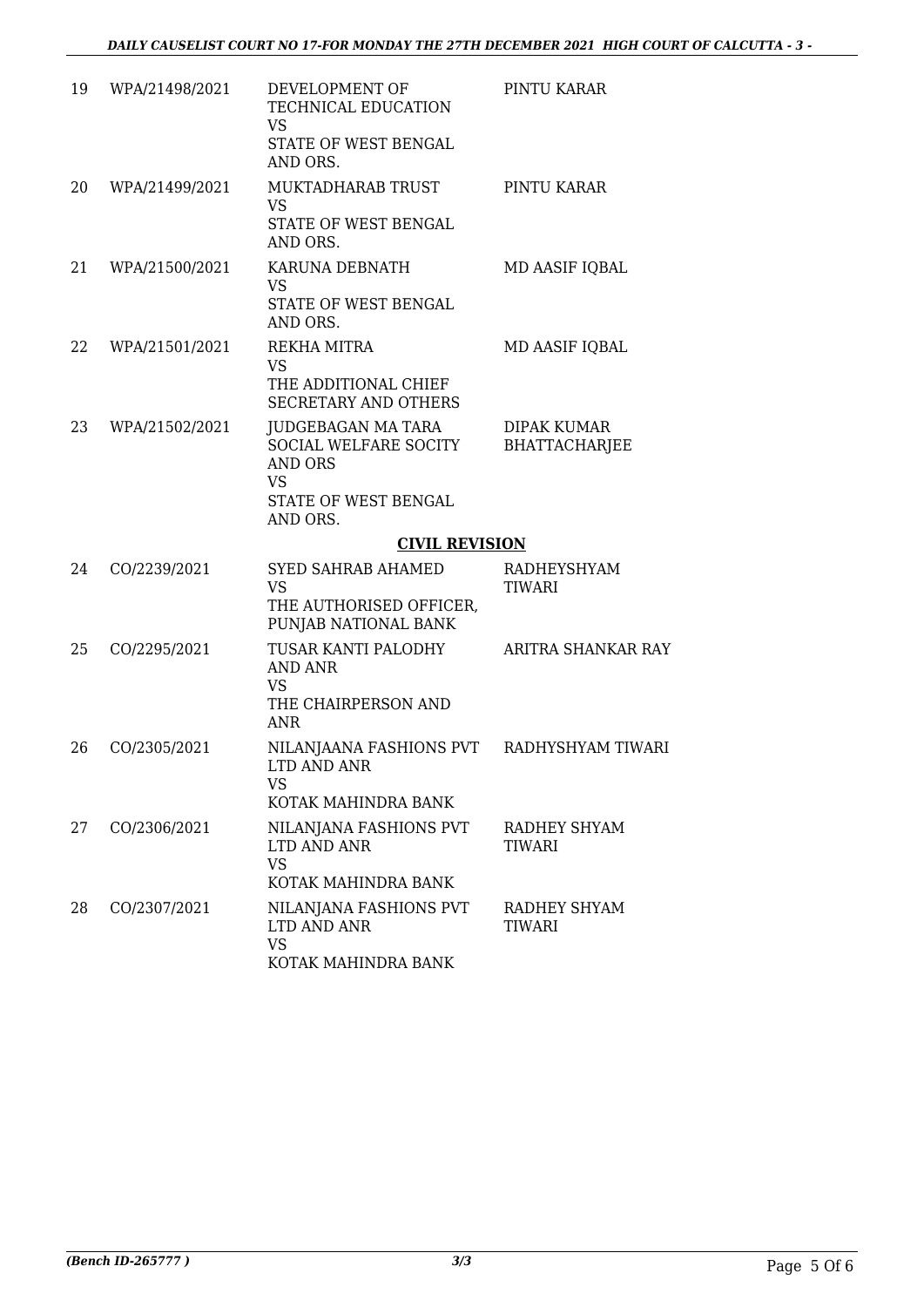| 19 | WPA/21498/2021 | DEVELOPMENT OF<br>TECHNICAL EDUCATION<br>VS<br>STATE OF WEST BENGAL<br>AND ORS.                                | PINTU KARAR                         |
|----|----------------|----------------------------------------------------------------------------------------------------------------|-------------------------------------|
| 20 | WPA/21499/2021 | MUKTADHARAB TRUST<br><b>VS</b><br>STATE OF WEST BENGAL<br>AND ORS.                                             | PINTU KARAR                         |
| 21 | WPA/21500/2021 | KARUNA DEBNATH<br>VS<br>STATE OF WEST BENGAL<br>AND ORS.                                                       | MD AASIF IQBAL                      |
| 22 | WPA/21501/2021 | REKHA MITRA<br>VS<br>THE ADDITIONAL CHIEF<br>SECRETARY AND OTHERS                                              | MD AASIF IQBAL                      |
| 23 | WPA/21502/2021 | JUDGEBAGAN MA TARA<br>SOCIAL WELFARE SOCITY<br><b>AND ORS</b><br><b>VS</b><br>STATE OF WEST BENGAL<br>AND ORS. | DIPAK KUMAR<br><b>BHATTACHARJEE</b> |
|    |                | <b>CIVIL REVISION</b>                                                                                          |                                     |
| 24 | CO/2239/2021   | <b>SYED SAHRAB AHAMED</b><br><b>VS</b><br>THE AUTHORISED OFFICER,<br>PUNJAB NATIONAL BANK                      | RADHEYSHYAM<br>TIWARI               |
| 25 | CO/2295/2021   | TUSAR KANTI PALODHY<br><b>AND ANR</b><br>VS<br>THE CHAIRPERSON AND<br><b>ANR</b>                               | ARITRA SHANKAR RAY                  |
| 26 | CO/2305/2021   | NILANJAANA FASHIONS PVT RADHYSHYAM TIWARI<br>LTD AND ANR<br>VS<br>KOTAK MAHINDRA BANK                          |                                     |
| 27 | CO/2306/2021   | NILANJANA FASHIONS PVT<br>LTD AND ANR<br><b>VS</b><br>KOTAK MAHINDRA BANK                                      | RADHEY SHYAM<br>TIWARI              |
| 28 | CO/2307/2021   | NILANJANA FASHIONS PVT<br>LTD AND ANR<br><b>VS</b>                                                             | RADHEY SHYAM<br><b>TIWARI</b>       |